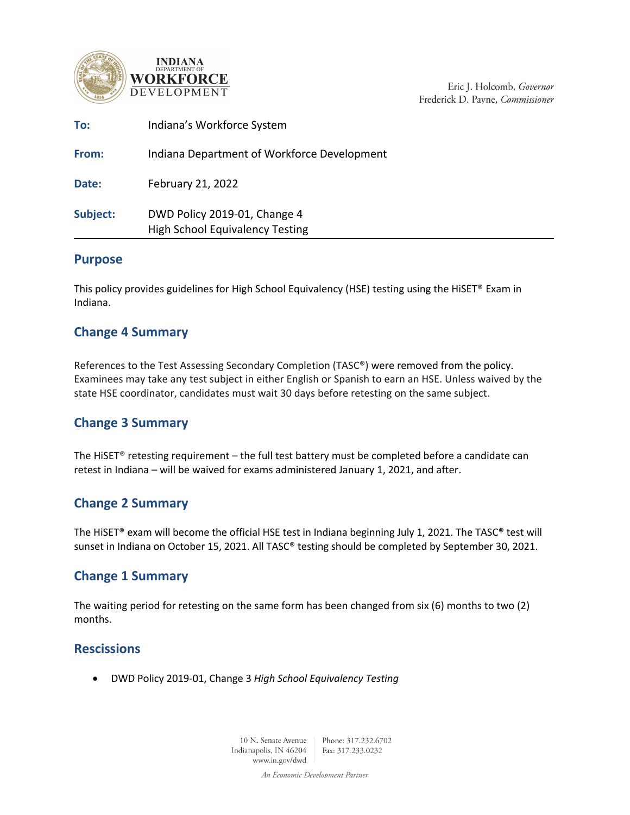



Eric J. Holcomb, Governor Frederick D. Payne, Commissioner

| To:      | Indiana's Workforce System                                             |
|----------|------------------------------------------------------------------------|
| From:    | Indiana Department of Workforce Development                            |
| Date:    | February 21, 2022                                                      |
| Subject: | DWD Policy 2019-01, Change 4<br><b>High School Equivalency Testing</b> |

### **Purpose**

This policy provides guidelines for High School Equivalency (HSE) testing using the HiSET® Exam in Indiana.

# **Change 4 Summary**

References to the Test Assessing Secondary Completion (TASC®) were removed from the policy. Examinees may take any test subject in either English or Spanish to earn an HSE. Unless waived by the state HSE coordinator, candidates must wait 30 days before retesting on the same subject.

## **Change 3 Summary**

The HiSET® retesting requirement – the full test battery must be completed before a candidate can retest in Indiana – will be waived for exams administered January 1, 2021, and after.

# **Change 2 Summary**

The HiSET® exam will become the official HSE test in Indiana beginning July 1, 2021. The TASC® test will sunset in Indiana on October 15, 2021. All TASC® testing should be completed by September 30, 2021.

## **Change 1 Summary**

The waiting period for retesting on the same form has been changed from six (6) months to two (2) months.

## **Rescissions**

• DWD Policy 2019-01, Change 3 *High School Equivalency Testing*

10 N. Senate Avenue Phone: 317.232.6702 Indianapolis, IN 46204 Fax: 317.233.0232 www.in.gov/dwd

An Economic Development Partner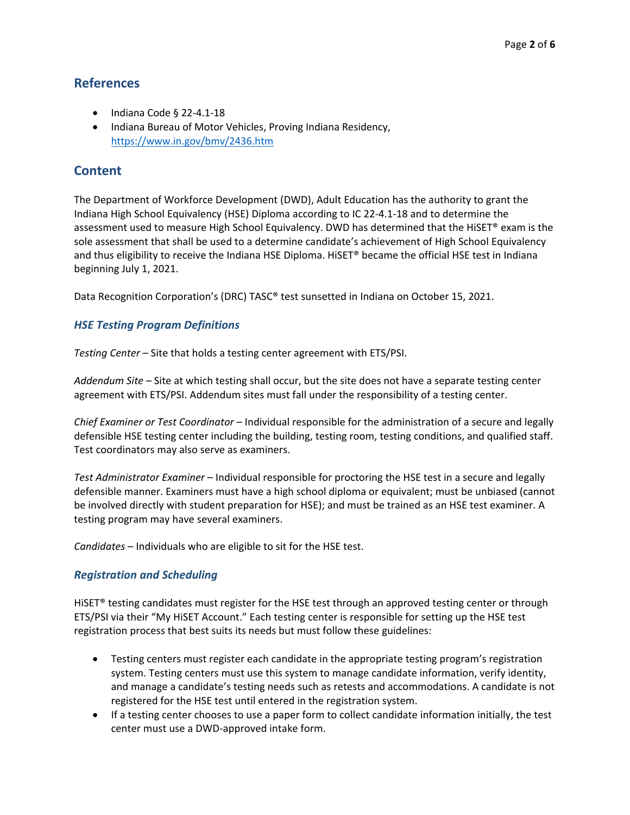## **References**

- Indiana Code § 22-4.1-18
- Indiana Bureau of Motor Vehicles, Proving Indiana Residency, <https://www.in.gov/bmv/2436.htm>

## **Content**

The Department of Workforce Development (DWD), Adult Education has the authority to grant the Indiana High School Equivalency (HSE) Diploma according to IC 22-4.1-18 and to determine the assessment used to measure High School Equivalency. DWD has determined that the HiSET® exam is the sole assessment that shall be used to a determine candidate's achievement of High School Equivalency and thus eligibility to receive the Indiana HSE Diploma. HiSET® became the official HSE test in Indiana beginning July 1, 2021.

Data Recognition Corporation's (DRC) TASC® test sunsetted in Indiana on October 15, 2021.

#### *HSE Testing Program Definitions*

*Testing Center* – Site that holds a testing center agreement with ETS/PSI.

*Addendum Site* – Site at which testing shall occur, but the site does not have a separate testing center agreement with ETS/PSI. Addendum sites must fall under the responsibility of a testing center.

*Chief Examiner or Test Coordinator* – Individual responsible for the administration of a secure and legally defensible HSE testing center including the building, testing room, testing conditions, and qualified staff. Test coordinators may also serve as examiners.

*Test Administrator Examiner* – Individual responsible for proctoring the HSE test in a secure and legally defensible manner. Examiners must have a high school diploma or equivalent; must be unbiased (cannot be involved directly with student preparation for HSE); and must be trained as an HSE test examiner. A testing program may have several examiners.

*Candidates* – Individuals who are eligible to sit for the HSE test.

#### *Registration and Scheduling*

HiSET® testing candidates must register for the HSE test through an approved testing center or through ETS/PSI via their "My HiSET Account." Each testing center is responsible for setting up the HSE test registration process that best suits its needs but must follow these guidelines:

- Testing centers must register each candidate in the appropriate testing program's registration system. Testing centers must use this system to manage candidate information, verify identity, and manage a candidate's testing needs such as retests and accommodations. A candidate is not registered for the HSE test until entered in the registration system.
- If a testing center chooses to use a paper form to collect candidate information initially, the test center must use a DWD-approved intake form.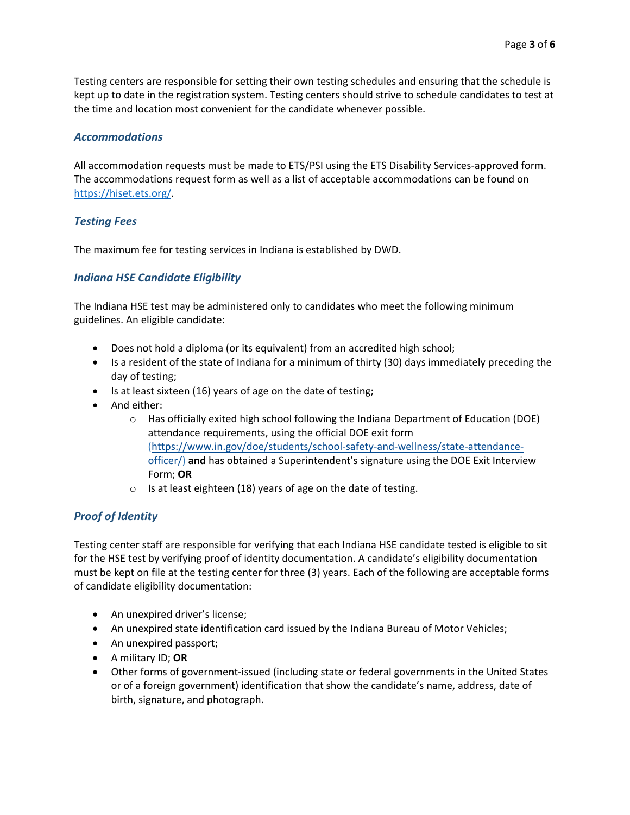Testing centers are responsible for setting their own testing schedules and ensuring that the schedule is kept up to date in the registration system. Testing centers should strive to schedule candidates to test at the time and location most convenient for the candidate whenever possible.

#### *Accommodations*

All accommodation requests must be made to ETS/PSI using the ETS Disability Services-approved form. The accommodations request form as well as a list of acceptable accommodations can be found on [https://hiset.ets.org/.](https://hiset.ets.org/)

### *Testing Fees*

The maximum fee for testing services in Indiana is established by DWD.

#### *Indiana HSE Candidate Eligibility*

The Indiana HSE test may be administered only to candidates who meet the following minimum guidelines. An eligible candidate:

- Does not hold a diploma (or its equivalent) from an accredited high school;
- Is a resident of the state of Indiana for a minimum of thirty (30) days immediately preceding the day of testing;
- Is at least sixteen (16) years of age on the date of testing;
- And either:
	- $\circ$  Has officially exited high school following the Indiana Department of Education (DOE) attendance requirements, using the official DOE exit form [\(https://www.in.gov/doe/students/school-safety-and-wellness/state-attendance](https://www.in.gov/doe/students/school-safety-and-wellness/state-attendance-officer/)[officer/\)](https://www.in.gov/doe/students/school-safety-and-wellness/state-attendance-officer/) **and** has obtained a Superintendent's signature using the DOE Exit Interview Form; **OR**
	- $\circ$  Is at least eighteen (18) years of age on the date of testing.

#### *Proof of Identity*

Testing center staff are responsible for verifying that each Indiana HSE candidate tested is eligible to sit for the HSE test by verifying proof of identity documentation. A candidate's eligibility documentation must be kept on file at the testing center for three (3) years. Each of the following are acceptable forms of candidate eligibility documentation:

- An unexpired driver's license;
- An unexpired state identification card issued by the Indiana Bureau of Motor Vehicles;
- An unexpired passport;
- A military ID; **OR**
- Other forms of government-issued (including state or federal governments in the United States or of a foreign government) identification that show the candidate's name, address, date of birth, signature, and photograph.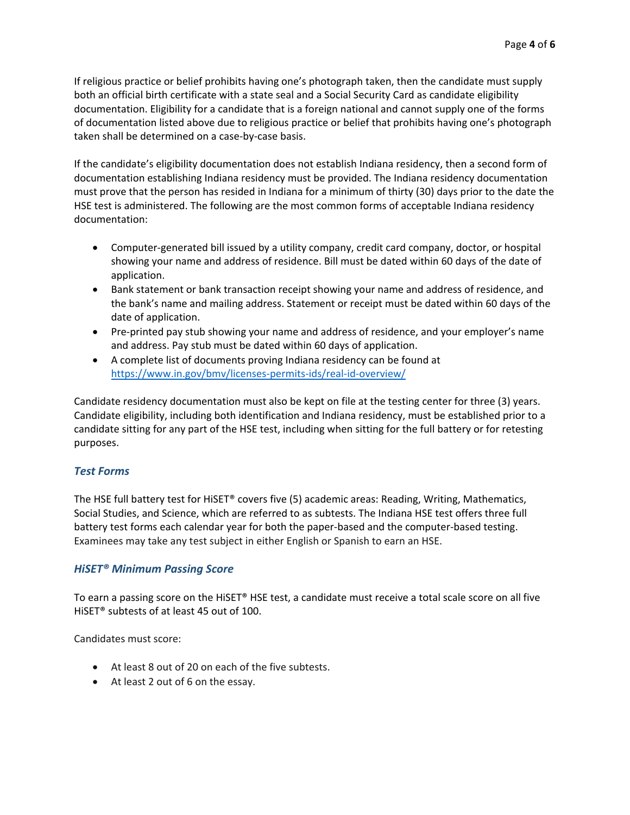If religious practice or belief prohibits having one's photograph taken, then the candidate must supply both an official birth certificate with a state seal and a Social Security Card as candidate eligibility documentation. Eligibility for a candidate that is a foreign national and cannot supply one of the forms of documentation listed above due to religious practice or belief that prohibits having one's photograph taken shall be determined on a case-by-case basis.

If the candidate's eligibility documentation does not establish Indiana residency, then a second form of documentation establishing Indiana residency must be provided. The Indiana residency documentation must prove that the person has resided in Indiana for a minimum of thirty (30) days prior to the date the HSE test is administered. The following are the most common forms of acceptable Indiana residency documentation:

- Computer-generated bill issued by a utility company, credit card company, doctor, or hospital showing your name and address of residence. Bill must be dated within 60 days of the date of application.
- Bank statement or bank transaction receipt showing your name and address of residence, and the bank's name and mailing address. Statement or receipt must be dated within 60 days of the date of application.
- Pre-printed pay stub showing your name and address of residence, and your employer's name and address. Pay stub must be dated within 60 days of application.
- A complete list of documents proving Indiana residency can be found at <https://www.in.gov/bmv/licenses-permits-ids/real-id-overview/>

Candidate residency documentation must also be kept on file at the testing center for three (3) years. Candidate eligibility, including both identification and Indiana residency, must be established prior to a candidate sitting for any part of the HSE test, including when sitting for the full battery or for retesting purposes.

### *Test Forms*

The HSE full battery test for HiSET® covers five (5) academic areas: Reading, Writing, Mathematics, Social Studies, and Science, which are referred to as subtests. The Indiana HSE test offers three full battery test forms each calendar year for both the paper-based and the computer-based testing. Examinees may take any test subject in either English or Spanish to earn an HSE.

### *HiSET® Minimum Passing Score*

To earn a passing score on the HiSET® HSE test, a candidate must receive a total scale score on all five HiSET® subtests of at least 45 out of 100.

Candidates must score:

- At least 8 out of 20 on each of the five subtests.
- At least 2 out of 6 on the essay.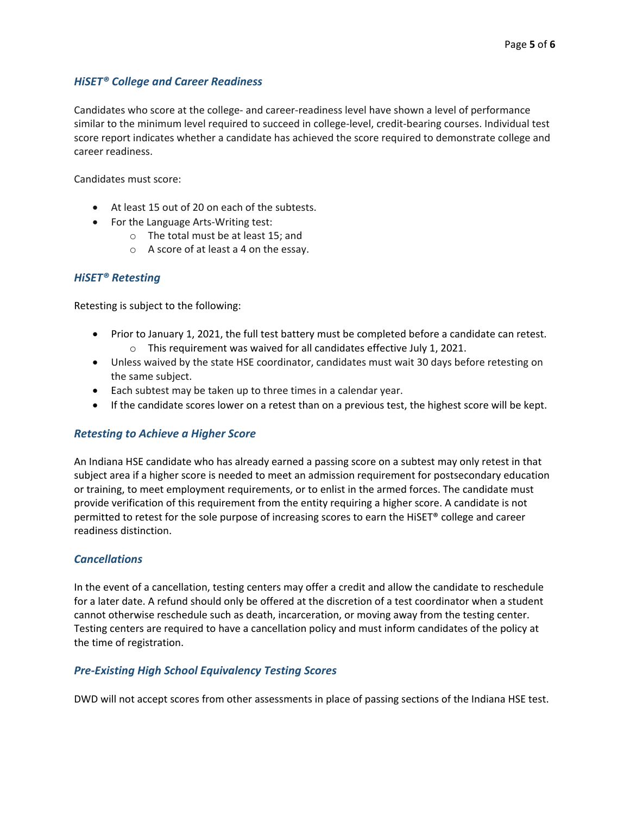### *HiSET® College and Career Readiness*

Candidates who score at the college- and career-readiness level have shown a level of performance similar to the minimum level required to succeed in college-level, credit-bearing courses. Individual test score report indicates whether a candidate has achieved the score required to demonstrate college and career readiness.

Candidates must score:

- At least 15 out of 20 on each of the subtests.
- For the Language Arts-Writing test:
	- o The total must be at least 15; and
	- o A score of at least a 4 on the essay.

### *HiSET® Retesting*

Retesting is subject to the following:

- Prior to January 1, 2021, the full test battery must be completed before a candidate can retest. o This requirement was waived for all candidates effective July 1, 2021.
- Unless waived by the state HSE coordinator, candidates must wait 30 days before retesting on the same subject.
- Each subtest may be taken up to three times in a calendar year.
- If the candidate scores lower on a retest than on a previous test, the highest score will be kept.

### *Retesting to Achieve a Higher Score*

An Indiana HSE candidate who has already earned a passing score on a subtest may only retest in that subject area if a higher score is needed to meet an admission requirement for postsecondary education or training, to meet employment requirements, or to enlist in the armed forces. The candidate must provide verification of this requirement from the entity requiring a higher score. A candidate is not permitted to retest for the sole purpose of increasing scores to earn the HiSET® college and career readiness distinction.

#### *Cancellations*

In the event of a cancellation, testing centers may offer a credit and allow the candidate to reschedule for a later date. A refund should only be offered at the discretion of a test coordinator when a student cannot otherwise reschedule such as death, incarceration, or moving away from the testing center. Testing centers are required to have a cancellation policy and must inform candidates of the policy at the time of registration.

### *Pre-Existing High School Equivalency Testing Scores*

DWD will not accept scores from other assessments in place of passing sections of the Indiana HSE test.